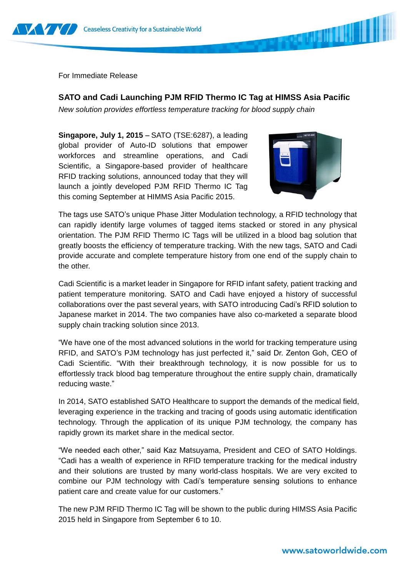

For Immediate Release

**SATO and Cadi Launching PJM RFID Thermo IC Tag at HIMSS Asia Pacific** 

*New solution provides effortless temperature tracking for blood supply chain*

**Singapore, July 1, 2015 –** SATO (TSE:6287), a leading global provider of Auto-ID solutions that empower workforces and streamline operations, and Cadi Scientific, a Singapore-based provider of healthcare RFID tracking solutions, announced today that they will launch a jointly developed PJM RFID Thermo IC Tag this coming September at HIMMS Asia Pacific 2015.



**BARKA AND AND AND A** 

The tags use SATO's unique Phase Jitter Modulation technology, a RFID technology that can rapidly identify large volumes of tagged items stacked or stored in any physical orientation. The PJM RFID Thermo IC Tags will be utilized in a blood bag solution that greatly boosts the efficiency of temperature tracking. With the new tags, SATO and Cadi provide accurate and complete temperature history from one end of the supply chain to the other.

Cadi Scientific is a market leader in Singapore for RFID infant safety, patient tracking and patient temperature monitoring. SATO and Cadi have enjoyed a history of successful collaborations over the past several years, with SATO introducing Cadi's RFID solution to Japanese market in 2014. The two companies have also co-marketed a separate blood supply chain tracking solution since 2013.

"We have one of the most advanced solutions in the world for tracking temperature using RFID, and SATO's PJM technology has just perfected it," said Dr. Zenton Goh, CEO of Cadi Scientific. "With their breakthrough technology, it is now possible for us to effortlessly track blood bag temperature throughout the entire supply chain, dramatically reducing waste."

In 2014, SATO established SATO Healthcare to support the demands of the medical field, leveraging experience in the tracking and tracing of goods using automatic identification technology. Through the application of its unique PJM technology, the company has rapidly grown its market share in the medical sector.

"We needed each other," said Kaz Matsuyama, President and CEO of SATO Holdings. "Cadi has a wealth of experience in RFID temperature tracking for the medical industry and their solutions are trusted by many world-class hospitals. We are very excited to combine our PJM technology with Cadi's temperature sensing solutions to enhance patient care and create value for our customers."

The new PJM RFID Thermo IC Tag will be shown to the public during HIMSS Asia Pacific 2015 held in Singapore from September 6 to 10.